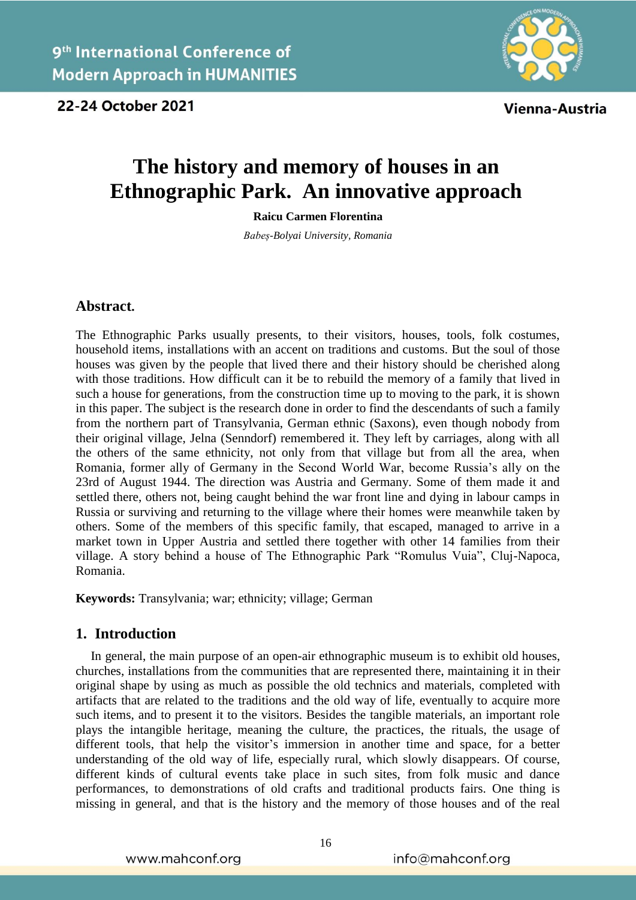

Vienna-Austria

# **The history and memory of houses in an Ethnographic Park. An innovative approach**

**Raicu Carmen Florentina**

*Babeș-Bolyai University, Romania*

## **Abstract.**

The Ethnographic Parks usually presents, to their visitors, houses, tools, folk costumes, household items, installations with an accent on traditions and customs. But the soul of those houses was given by the people that lived there and their history should be cherished along with those traditions. How difficult can it be to rebuild the memory of a family that lived in such a house for generations, from the construction time up to moving to the park, it is shown in this paper. The subject is the research done in order to find the descendants of such a family from the northern part of Transylvania, German ethnic (Saxons), even though nobody from their original village, Jelna (Senndorf) remembered it. They left by carriages, along with all the others of the same ethnicity, not only from that village but from all the area, when Romania, former ally of Germany in the Second World War, become Russia's ally on the 23rd of August 1944. The direction was Austria and Germany. Some of them made it and settled there, others not, being caught behind the war front line and dying in labour camps in Russia or surviving and returning to the village where their homes were meanwhile taken by others. Some of the members of this specific family, that escaped, managed to arrive in a market town in Upper Austria and settled there together with other 14 families from their village. A story behind a house of The Ethnographic Park "Romulus Vuia", Cluj-Napoca, Romania.

**Keywords:** Transylvania; war; ethnicity; village; German

## **1. Introduction**

In general, the main purpose of an open-air ethnographic museum is to exhibit old houses, churches, installations from the communities that are represented there, maintaining it in their original shape by using as much as possible the old technics and materials, completed with artifacts that are related to the traditions and the old way of life, eventually to acquire more such items, and to present it to the visitors. Besides the tangible materials, an important role plays the intangible heritage, meaning the culture, the practices, the rituals, the usage of different tools, that help the visitor's immersion in another time and space, for a better understanding of the old way of life, especially rural, which slowly disappears. Of course, different kinds of cultural events take place in such sites, from folk music and dance performances, to demonstrations of old crafts and traditional products fairs. One thing is missing in general, and that is the history and the memory of those houses and of the real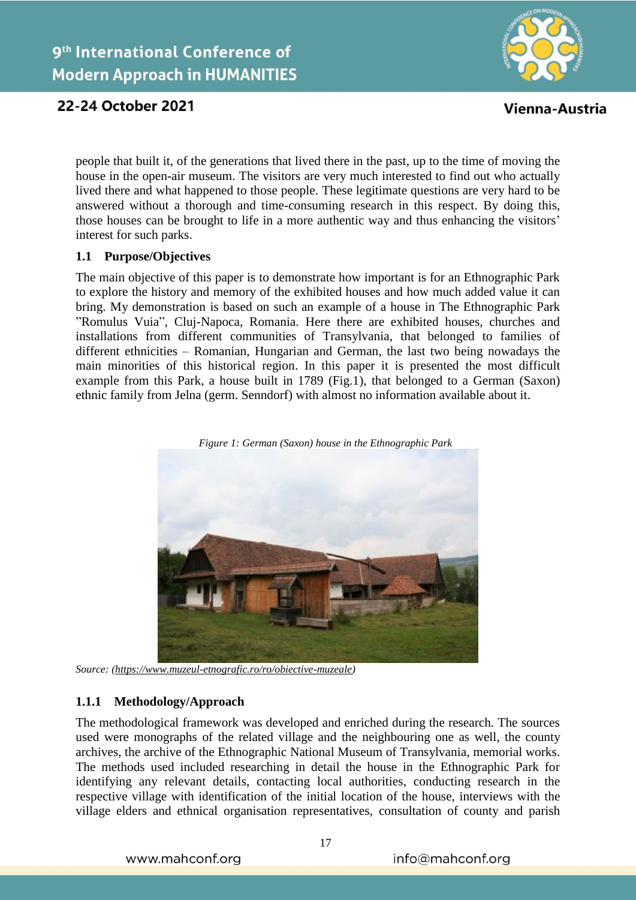



Vienna-Austria

people that built it, of the generations that lived there in the past, up to the time of moving the house in the open-air museum. The visitors are very much interested to find out who actually lived there and what happened to those people. These legitimate questions are very hard to be answered without a thorough and time-consuming research in this respect. By doing this, those houses can be brought to life in a more authentic way and thus enhancing the visitors' interest for such parks.

## **1.1 Purpose/Objectives**

The main objective of this paper is to demonstrate how important is for an Ethnographic Park to explore the history and memory of the exhibited houses and how much added value it can bring. My demonstration is based on such an example of a house in The Ethnographic Park "Romulus Vuia", Cluj-Napoca, Romania. Here there are exhibited houses, churches and installations from different communities of Transylvania, that belonged to families of different ethnicities – Romanian, Hungarian and German, the last two being nowadays the main minorities of this historical region. In this paper it is presented the most difficult example from this Park, a house built in 1789 (Fig.1), that belonged to a German (Saxon) ethnic family from Jelna (germ. Senndorf) with almost no information available about it.



*Figure 1: German (Saxon) house in the Ethnographic Park*

*Source: [\(https://www.muzeul-etnografic.ro/ro/obiective-muzeale\)](https://www.muzeul-etnografic.ro/ro/obiective-muzeale)*

## **1.1.1 Methodology/Approach**

The methodological framework was developed and enriched during the research. The sources used were monographs of the related village and the neighbouring one as well, the county archives, the archive of the Ethnographic National Museum of Transylvania, memorial works. The methods used included researching in detail the house in the Ethnographic Park for identifying any relevant details, contacting local authorities, conducting research in the respective village with identification of the initial location of the house, interviews with the village elders and ethnical organisation representatives, consultation of county and parish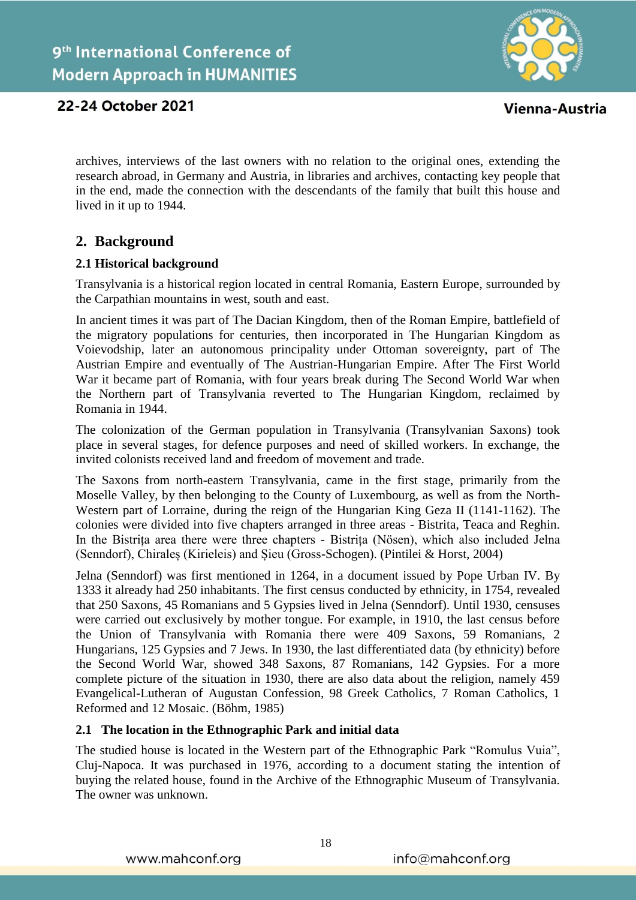

Vienna-Austria

## 22-24 October 2021

archives, interviews of the last owners with no relation to the original ones, extending the research abroad, in Germany and Austria, in libraries and archives, contacting key people that in the end, made the connection with the descendants of the family that built this house and lived in it up to 1944.

## **2. Background**

## **2.1 Historical background**

Transylvania is a historical region located in central Romania, Eastern Europe, surrounded by the Carpathian mountains in west, south and east.

In ancient times it was part of The Dacian Kingdom, then of the Roman Empire, battlefield of the migratory populations for centuries, then incorporated in The Hungarian Kingdom as Voievodship, later an autonomous principality under Ottoman sovereignty, part of The Austrian Empire and eventually of The Austrian-Hungarian Empire. After The First World War it became part of Romania, with four years break during The Second World War when the Northern part of Transylvania reverted to The Hungarian Kingdom, reclaimed by Romania in 1944.

The colonization of the German population in Transylvania (Transylvanian Saxons) took place in several stages, for defence purposes and need of skilled workers. In exchange, the invited colonists received land and freedom of movement and trade.

The Saxons from north-eastern Transylvania, came in the first stage, primarily from the Moselle Valley, by then belonging to the County of Luxembourg, as well as from the North-Western part of Lorraine, during the reign of the Hungarian King Geza II (1141-1162). The colonies were divided into five chapters arranged in three areas - Bistrita, Teaca and Reghin. In the Bistrița area there were three chapters - Bistrița (Nösen), which also included Jelna (Senndorf), Chiraleș (Kirieleis) and Șieu (Gross-Schogen). (Pintilei & Horst, 2004)

Jelna (Senndorf) was first mentioned in 1264, in a document issued by Pope Urban IV. By 1333 it already had 250 inhabitants. The first census conducted by ethnicity, in 1754, revealed that 250 Saxons, 45 Romanians and 5 Gypsies lived in Jelna (Senndorf). Until 1930, censuses were carried out exclusively by mother tongue. For example, in 1910, the last census before the Union of Transylvania with Romania there were 409 Saxons, 59 Romanians, 2 Hungarians, 125 Gypsies and 7 Jews. In 1930, the last differentiated data (by ethnicity) before the Second World War, showed 348 Saxons, 87 Romanians, 142 Gypsies. For a more complete picture of the situation in 1930, there are also data about the religion, namely 459 Evangelical-Lutheran of Augustan Confession, 98 Greek Catholics, 7 Roman Catholics, 1 Reformed and 12 Mosaic. (Böhm, 1985)

## **2.1 The location in the Ethnographic Park and initial data**

The studied house is located in the Western part of the Ethnographic Park "Romulus Vuia", Cluj-Napoca. It was purchased in 1976, according to a document stating the intention of buying the related house, found in the Archive of the Ethnographic Museum of Transylvania. The owner was unknown.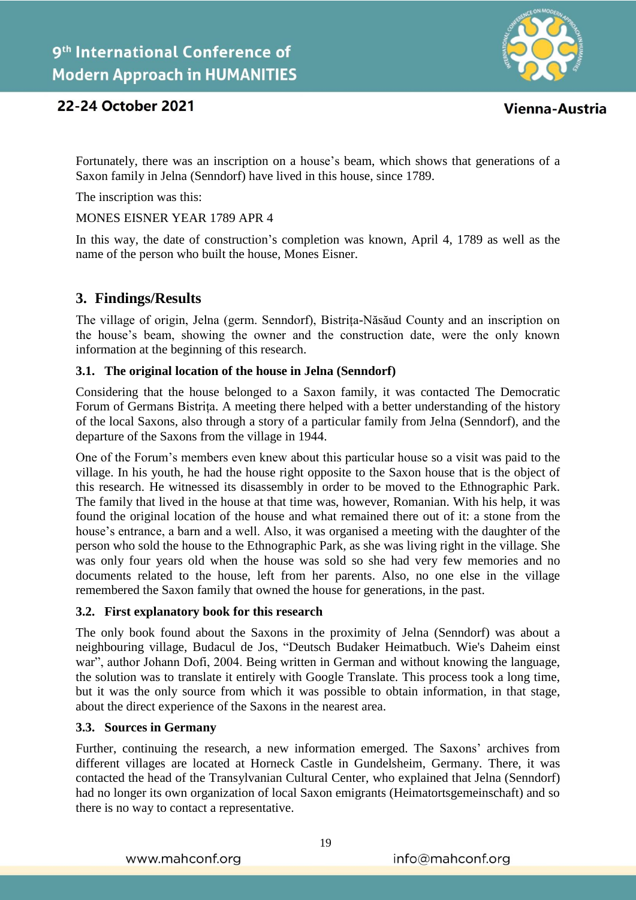

Vienna-Austria

## 22-24 October 2021

Fortunately, there was an inscription on a house's beam, which shows that generations of a Saxon family in Jelna (Senndorf) have lived in this house, since 1789.

The inscription was this:

MONES EISNER YEAR 1789 APR 4

In this way, the date of construction's completion was known, April 4, 1789 as well as the name of the person who built the house, Mones Eisner.

## **3. Findings/Results**

The village of origin, Jelna (germ. Senndorf), Bistrița-Năsăud County and an inscription on the house's beam, showing the owner and the construction date, were the only known information at the beginning of this research.

## **3.1. The original location of the house in Jelna (Senndorf)**

Considering that the house belonged to a Saxon family, it was contacted The Democratic Forum of Germans Bistrița. A meeting there helped with a better understanding of the history of the local Saxons, also through a story of a particular family from Jelna (Senndorf), and the departure of the Saxons from the village in 1944.

One of the Forum's members even knew about this particular house so a visit was paid to the village. In his youth, he had the house right opposite to the Saxon house that is the object of this research. He witnessed its disassembly in order to be moved to the Ethnographic Park. The family that lived in the house at that time was, however, Romanian. With his help, it was found the original location of the house and what remained there out of it: a stone from the house's entrance, a barn and a well. Also, it was organised a meeting with the daughter of the person who sold the house to the Ethnographic Park, as she was living right in the village. She was only four years old when the house was sold so she had very few memories and no documents related to the house, left from her parents. Also, no one else in the village remembered the Saxon family that owned the house for generations, in the past.

## **3.2. First explanatory book for this research**

The only book found about the Saxons in the proximity of Jelna (Senndorf) was about a neighbouring village, Budacul de Jos, "Deutsch Budaker Heimatbuch. Wie's Daheim einst war", author Johann Dofi, 2004. Being written in German and without knowing the language, the solution was to translate it entirely with Google Translate. This process took a long time, but it was the only source from which it was possible to obtain information, in that stage, about the direct experience of the Saxons in the nearest area.

## **3.3. Sources in Germany**

Further, continuing the research, a new information emerged. The Saxons' archives from different villages are located at Horneck Castle in Gundelsheim, Germany. There, it was contacted the head of the Transylvanian Cultural Center, who explained that Jelna (Senndorf) had no longer its own organization of local Saxon emigrants (Heimatortsgemeinschaft) and so there is no way to contact a representative.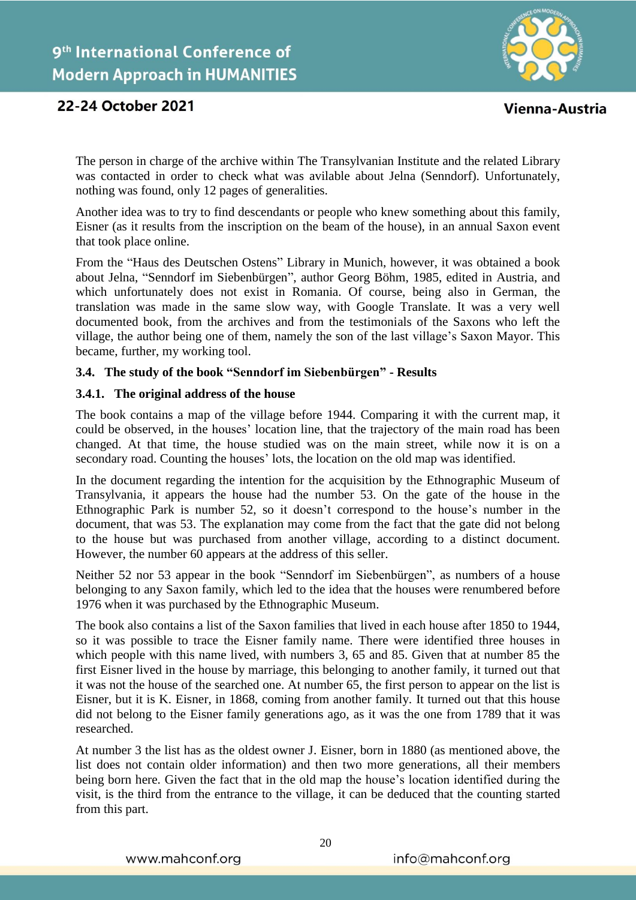

Vienna-Austria

The person in charge of the archive within The Transylvanian Institute and the related Library was contacted in order to check what was avilable about Jelna (Senndorf). Unfortunately, nothing was found, only 12 pages of generalities.

Another idea was to try to find descendants or people who knew something about this family, Eisner (as it results from the inscription on the beam of the house), in an annual Saxon event that took place online.

From the "Haus des Deutschen Ostens" Library in Munich, however, it was obtained a book about Jelna, "Senndorf im Siebenbürgen", author Georg Böhm, 1985, edited in Austria, and which unfortunately does not exist in Romania. Of course, being also in German, the translation was made in the same slow way, with Google Translate. It was a very well documented book, from the archives and from the testimonials of the Saxons who left the village, the author being one of them, namely the son of the last village's Saxon Mayor. This became, further, my working tool.

## **3.4. The study of the book "Senndorf im Siebenbürgen" - Results**

## **3.4.1. The original address of the house**

The book contains a map of the village before 1944. Comparing it with the current map, it could be observed, in the houses' location line, that the trajectory of the main road has been changed. At that time, the house studied was on the main street, while now it is on a secondary road. Counting the houses' lots, the location on the old map was identified.

In the document regarding the intention for the acquisition by the Ethnographic Museum of Transylvania, it appears the house had the number 53. On the gate of the house in the Ethnographic Park is number 52, so it doesn't correspond to the house's number in the document, that was 53. The explanation may come from the fact that the gate did not belong to the house but was purchased from another village, according to a distinct document. However, the number 60 appears at the address of this seller.

Neither 52 nor 53 appear in the book "Senndorf im Siebenbürgen", as numbers of a house belonging to any Saxon family, which led to the idea that the houses were renumbered before 1976 when it was purchased by the Ethnographic Museum.

The book also contains a list of the Saxon families that lived in each house after 1850 to 1944, so it was possible to trace the Eisner family name. There were identified three houses in which people with this name lived, with numbers 3, 65 and 85. Given that at number 85 the first Eisner lived in the house by marriage, this belonging to another family, it turned out that it was not the house of the searched one. At number 65, the first person to appear on the list is Eisner, but it is K. Eisner, in 1868, coming from another family. It turned out that this house did not belong to the Eisner family generations ago, as it was the one from 1789 that it was researched.

At number 3 the list has as the oldest owner J. Eisner, born in 1880 (as mentioned above, the list does not contain older information) and then two more generations, all their members being born here. Given the fact that in the old map the house's location identified during the visit, is the third from the entrance to the village, it can be deduced that the counting started from this part.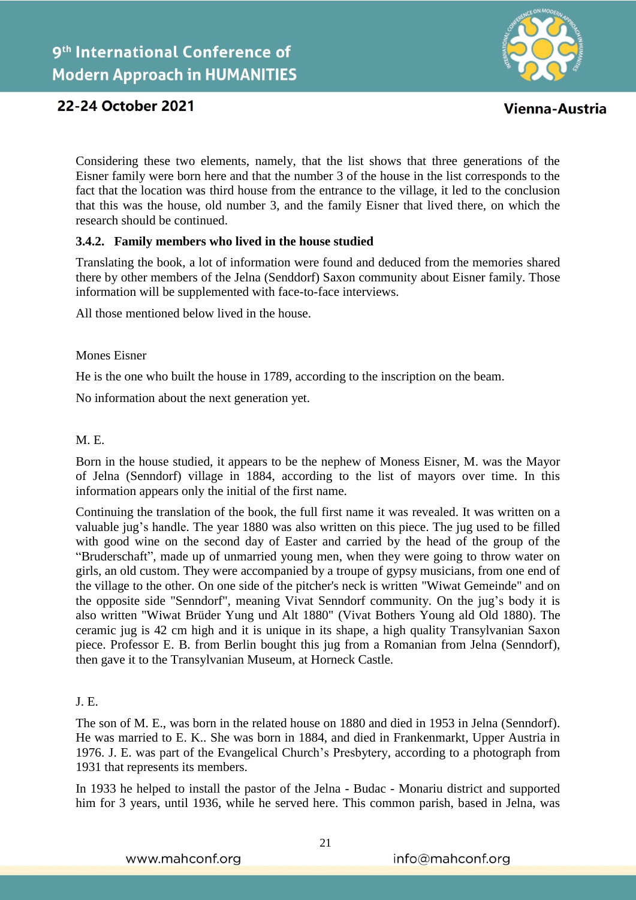

Vienna-Austria

Considering these two elements, namely, that the list shows that three generations of the Eisner family were born here and that the number 3 of the house in the list corresponds to the fact that the location was third house from the entrance to the village, it led to the conclusion that this was the house, old number 3, and the family Eisner that lived there, on which the research should be continued.

## **3.4.2. Family members who lived in the house studied**

Translating the book, a lot of information were found and deduced from the memories shared there by other members of the Jelna (Senddorf) Saxon community about Eisner family. Those information will be supplemented with face-to-face interviews.

All those mentioned below lived in the house.

#### Mones Eisner

He is the one who built the house in 1789, according to the inscription on the beam.

No information about the next generation yet.

## M. E.

Born in the house studied, it appears to be the nephew of Moness Eisner, M. was the Mayor of Jelna (Senndorf) village in 1884, according to the list of mayors over time. In this information appears only the initial of the first name.

Continuing the translation of the book, the full first name it was revealed. It was written on a valuable jug's handle. The year 1880 was also written on this piece. The jug used to be filled with good wine on the second day of Easter and carried by the head of the group of the "Bruderschaft", made up of unmarried young men, when they were going to throw water on girls, an old custom. They were accompanied by a troupe of gypsy musicians, from one end of the village to the other. On one side of the pitcher's neck is written "Wiwat Gemeinde" and on the opposite side "Senndorf", meaning Vivat Senndorf community. On the jug's body it is also written "Wiwat Brüder Yung und Alt 1880" (Vivat Bothers Young ald Old 1880). The ceramic jug is 42 cm high and it is unique in its shape, a high quality Transylvanian Saxon piece. Professor E. B. from Berlin bought this jug from a Romanian from Jelna (Senndorf), then gave it to the Transylvanian Museum, at Horneck Castle.

## J. E.

The son of M. E., was born in the related house on 1880 and died in 1953 in Jelna (Senndorf). He was married to E. K.. She was born in 1884, and died in Frankenmarkt, Upper Austria in 1976. J. E. was part of the Evangelical Church's Presbytery, according to a photograph from 1931 that represents its members.

In 1933 he helped to install the pastor of the Jelna - Budac - Monariu district and supported him for 3 years, until 1936, while he served here. This common parish, based in Jelna, was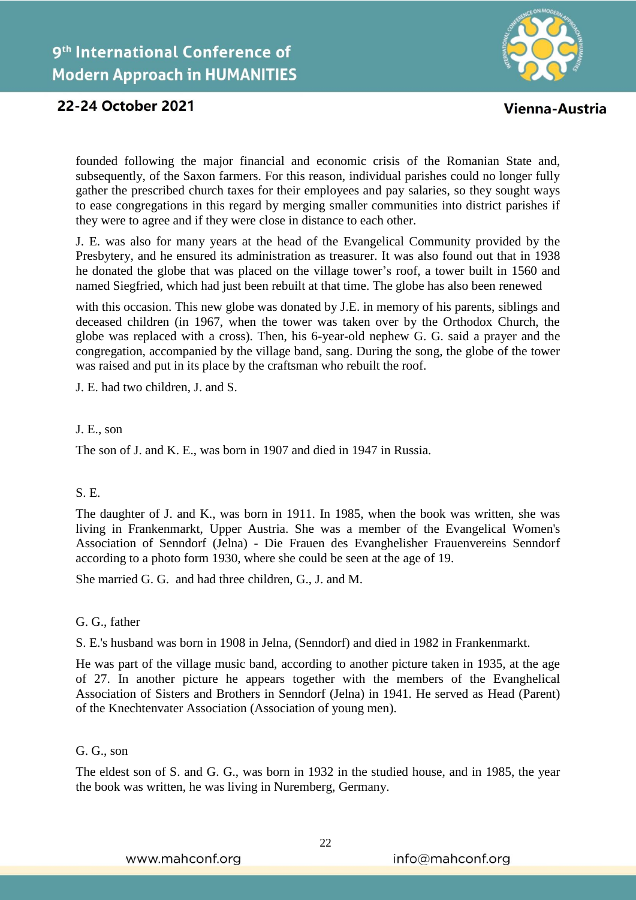

Vienna-Austria

founded following the major financial and economic crisis of the Romanian State and, subsequently, of the Saxon farmers. For this reason, individual parishes could no longer fully gather the prescribed church taxes for their employees and pay salaries, so they sought ways to ease congregations in this regard by merging smaller communities into district parishes if they were to agree and if they were close in distance to each other.

J. E. was also for many years at the head of the Evangelical Community provided by the Presbytery, and he ensured its administration as treasurer. It was also found out that in 1938 he donated the globe that was placed on the village tower's roof, a tower built in 1560 and named Siegfried, which had just been rebuilt at that time. The globe has also been renewed

with this occasion. This new globe was donated by J.E. in memory of his parents, siblings and deceased children (in 1967, when the tower was taken over by the Orthodox Church, the globe was replaced with a cross). Then, his 6-year-old nephew G. G. said a prayer and the congregation, accompanied by the village band, sang. During the song, the globe of the tower was raised and put in its place by the craftsman who rebuilt the roof.

J. E. had two children, J. and S.

#### J. E., son

The son of J. and K. E., was born in 1907 and died in 1947 in Russia.

## S. E.

The daughter of J. and K., was born in 1911. In 1985, when the book was written, she was living in Frankenmarkt, Upper Austria. She was a member of the Evangelical Women's Association of Senndorf (Jelna) - Die Frauen des Evanghelisher Frauenvereins Senndorf according to a photo form 1930, where she could be seen at the age of 19.

She married G. G. and had three children, G., J. and M.

#### G. G., father

S. E.'s husband was born in 1908 in Jelna, (Senndorf) and died in 1982 in Frankenmarkt.

He was part of the village music band, according to another picture taken in 1935, at the age of 27. In another picture he appears together with the members of the Evanghelical Association of Sisters and Brothers in Senndorf (Jelna) in 1941. He served as Head (Parent) of the Knechtenvater Association (Association of young men).

#### G. G., son

The eldest son of S. and G. G., was born in 1932 in the studied house, and in 1985, the year the book was written, he was living in Nuremberg, Germany.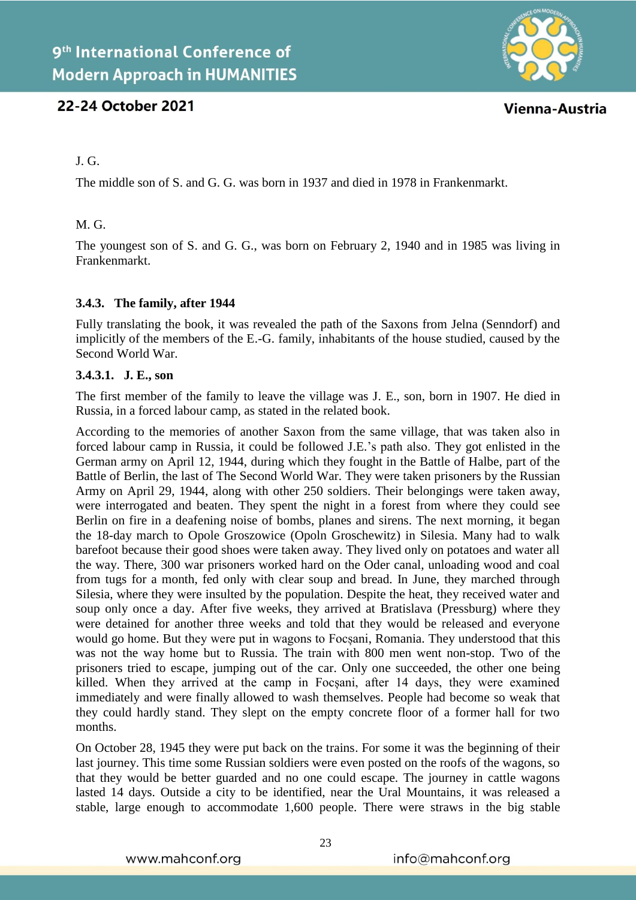

Vienna-Austria

## J. G.

The middle son of S. and G. G. was born in 1937 and died in 1978 in Frankenmarkt.

## M. G.

The youngest son of S. and G. G., was born on February 2, 1940 and in 1985 was living in Frankenmarkt.

## **3.4.3. The family, after 1944**

Fully translating the book, it was revealed the path of the Saxons from Jelna (Senndorf) and implicitly of the members of the E.-G. family, inhabitants of the house studied, caused by the Second World War.

## **3.4.3.1. J. E., son**

The first member of the family to leave the village was J. E., son, born in 1907. He died in Russia, in a forced labour camp, as stated in the related book.

According to the memories of another Saxon from the same village, that was taken also in forced labour camp in Russia, it could be followed J.E.'s path also. They got enlisted in the German army on April 12, 1944, during which they fought in the Battle of Halbe, part of the Battle of Berlin, the last of The Second World War. They were taken prisoners by the Russian Army on April 29, 1944, along with other 250 soldiers. Their belongings were taken away, were interrogated and beaten. They spent the night in a forest from where they could see Berlin on fire in a deafening noise of bombs, planes and sirens. The next morning, it began the 18-day march to Opole Groszowice (Opoln Groschewitz) in Silesia. Many had to walk barefoot because their good shoes were taken away. They lived only on potatoes and water all the way. There, 300 war prisoners worked hard on the Oder canal, unloading wood and coal from tugs for a month, fed only with clear soup and bread. In June, they marched through Silesia, where they were insulted by the population. Despite the heat, they received water and soup only once a day. After five weeks, they arrived at Bratislava (Pressburg) where they were detained for another three weeks and told that they would be released and everyone would go home. But they were put in wagons to Focsani, Romania. They understood that this was not the way home but to Russia. The train with 800 men went non-stop. Two of the prisoners tried to escape, jumping out of the car. Only one succeeded, the other one being killed. When they arrived at the camp in Focșani, after 14 days, they were examined immediately and were finally allowed to wash themselves. People had become so weak that they could hardly stand. They slept on the empty concrete floor of a former hall for two months.

On October 28, 1945 they were put back on the trains. For some it was the beginning of their last journey. This time some Russian soldiers were even posted on the roofs of the wagons, so that they would be better guarded and no one could escape. The journey in cattle wagons lasted 14 days. Outside a city to be identified, near the Ural Mountains, it was released a stable, large enough to accommodate 1,600 people. There were straws in the big stable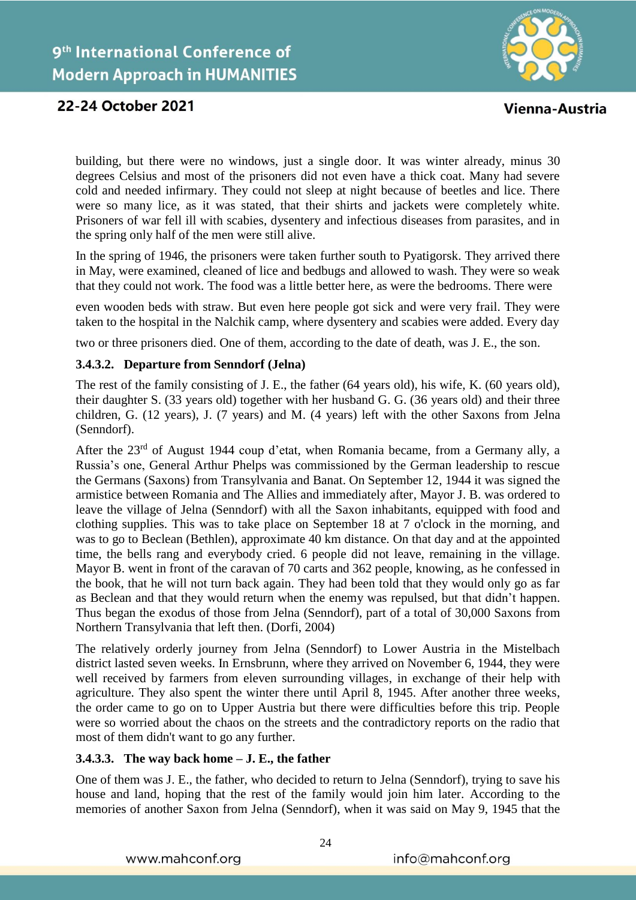

Vienna-Austria

building, but there were no windows, just a single door. It was winter already, minus 30 degrees Celsius and most of the prisoners did not even have a thick coat. Many had severe cold and needed infirmary. They could not sleep at night because of beetles and lice. There were so many lice, as it was stated, that their shirts and jackets were completely white. Prisoners of war fell ill with scabies, dysentery and infectious diseases from parasites, and in the spring only half of the men were still alive.

In the spring of 1946, the prisoners were taken further south to Pyatigorsk. They arrived there in May, were examined, cleaned of lice and bedbugs and allowed to wash. They were so weak that they could not work. The food was a little better here, as were the bedrooms. There were

even wooden beds with straw. But even here people got sick and were very frail. They were taken to the hospital in the Nalchik camp, where dysentery and scabies were added. Every day

two or three prisoners died. One of them, according to the date of death, was J. E., the son.

## **3.4.3.2. Departure from Senndorf (Jelna)**

The rest of the family consisting of J. E., the father (64 years old), his wife, K. (60 years old), their daughter S. (33 years old) together with her husband G. G. (36 years old) and their three children, G. (12 years), J. (7 years) and M. (4 years) left with the other Saxons from Jelna (Senndorf).

After the 23rd of August 1944 coup d'etat, when Romania became, from a Germany ally, a Russia's one, General Arthur Phelps was commissioned by the German leadership to rescue the Germans (Saxons) from Transylvania and Banat. On September 12, 1944 it was signed the armistice between Romania and The Allies and immediately after, Mayor J. B. was ordered to leave the village of Jelna (Senndorf) with all the Saxon inhabitants, equipped with food and clothing supplies. This was to take place on September 18 at 7 o'clock in the morning, and was to go to Beclean (Bethlen), approximate 40 km distance. On that day and at the appointed time, the bells rang and everybody cried. 6 people did not leave, remaining in the village. Mayor B. went in front of the caravan of 70 carts and 362 people, knowing, as he confessed in the book, that he will not turn back again. They had been told that they would only go as far as Beclean and that they would return when the enemy was repulsed, but that didn't happen. Thus began the exodus of those from Jelna (Senndorf), part of a total of 30,000 Saxons from Northern Transylvania that left then. (Dorfi, 2004)

The relatively orderly journey from Jelna (Senndorf) to Lower Austria in the Mistelbach district lasted seven weeks. In Ernsbrunn, where they arrived on November 6, 1944, they were well received by farmers from eleven surrounding villages, in exchange of their help with agriculture. They also spent the winter there until April 8, 1945. After another three weeks, the order came to go on to Upper Austria but there were difficulties before this trip. People were so worried about the chaos on the streets and the contradictory reports on the radio that most of them didn't want to go any further.

## **3.4.3.3. The way back home – J. E., the father**

One of them was J. E., the father, who decided to return to Jelna (Senndorf), trying to save his house and land, hoping that the rest of the family would join him later. According to the memories of another Saxon from Jelna (Senndorf), when it was said on May 9, 1945 that the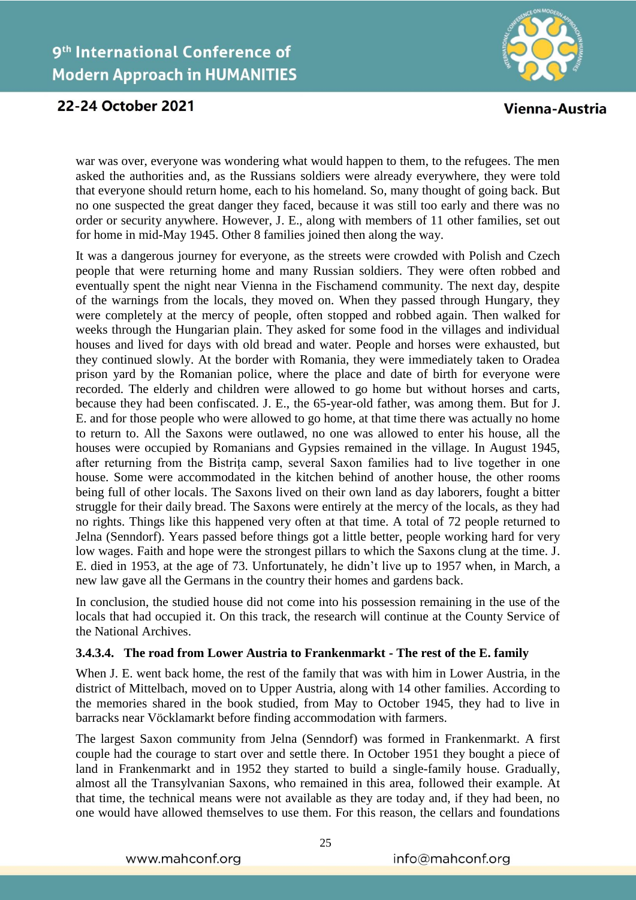# 9<sup>th</sup> International Conference of **Modern Approach in HUMANITIES**



## 22-24 October 2021

Vienna-Austria

war was over, everyone was wondering what would happen to them, to the refugees. The men asked the authorities and, as the Russians soldiers were already everywhere, they were told that everyone should return home, each to his homeland. So, many thought of going back. But no one suspected the great danger they faced, because it was still too early and there was no order or security anywhere. However, J. E., along with members of 11 other families, set out for home in mid-May 1945. Other 8 families joined then along the way.

It was a dangerous journey for everyone, as the streets were crowded with Polish and Czech people that were returning home and many Russian soldiers. They were often robbed and eventually spent the night near Vienna in the Fischamend community. The next day, despite of the warnings from the locals, they moved on. When they passed through Hungary, they were completely at the mercy of people, often stopped and robbed again. Then walked for weeks through the Hungarian plain. They asked for some food in the villages and individual houses and lived for days with old bread and water. People and horses were exhausted, but they continued slowly. At the border with Romania, they were immediately taken to Oradea prison yard by the Romanian police, where the place and date of birth for everyone were recorded. The elderly and children were allowed to go home but without horses and carts, because they had been confiscated. J. E., the 65-year-old father, was among them. But for J. E. and for those people who were allowed to go home, at that time there was actually no home to return to. All the Saxons were outlawed, no one was allowed to enter his house, all the houses were occupied by Romanians and Gypsies remained in the village. In August 1945, after returning from the Bistrița camp, several Saxon families had to live together in one house. Some were accommodated in the kitchen behind of another house, the other rooms being full of other locals. The Saxons lived on their own land as day laborers, fought a bitter struggle for their daily bread. The Saxons were entirely at the mercy of the locals, as they had no rights. Things like this happened very often at that time. A total of 72 people returned to Jelna (Senndorf). Years passed before things got a little better, people working hard for very low wages. Faith and hope were the strongest pillars to which the Saxons clung at the time. J. E. died in 1953, at the age of 73. Unfortunately, he didn't live up to 1957 when, in March, a new law gave all the Germans in the country their homes and gardens back.

In conclusion, the studied house did not come into his possession remaining in the use of the locals that had occupied it. On this track, the research will continue at the County Service of the National Archives.

## **3.4.3.4. The road from Lower Austria to Frankenmarkt - The rest of the E. family**

When J. E. went back home, the rest of the family that was with him in Lower Austria, in the district of Mittelbach, moved on to Upper Austria, along with 14 other families. According to the memories shared in the book studied, from May to October 1945, they had to live in barracks near Vöcklamarkt before finding accommodation with farmers.

The largest Saxon community from Jelna (Senndorf) was formed in Frankenmarkt. A first couple had the courage to start over and settle there. In October 1951 they bought a piece of land in Frankenmarkt and in 1952 they started to build a single-family house. Gradually, almost all the Transylvanian Saxons, who remained in this area, followed their example. At that time, the technical means were not available as they are today and, if they had been, no one would have allowed themselves to use them. For this reason, the cellars and foundations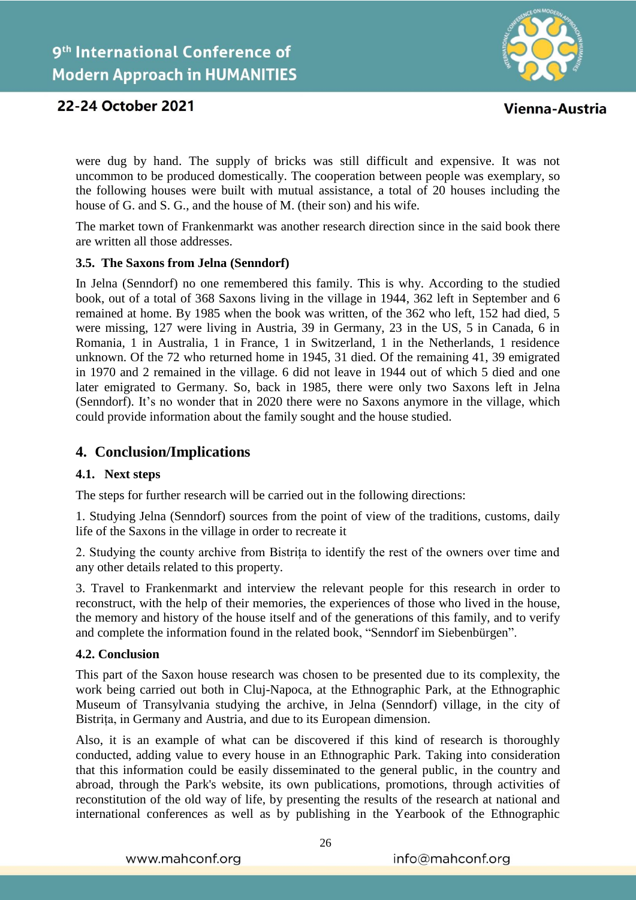

Vienna-Austria

were dug by hand. The supply of bricks was still difficult and expensive. It was not uncommon to be produced domestically. The cooperation between people was exemplary, so the following houses were built with mutual assistance, a total of 20 houses including the house of G. and S. G., and the house of M. (their son) and his wife.

The market town of Frankenmarkt was another research direction since in the said book there are written all those addresses.

## **3.5. The Saxons from Jelna (Senndorf)**

In Jelna (Senndorf) no one remembered this family. This is why. According to the studied book, out of a total of 368 Saxons living in the village in 1944, 362 left in September and 6 remained at home. By 1985 when the book was written, of the 362 who left, 152 had died, 5 were missing, 127 were living in Austria, 39 in Germany, 23 in the US, 5 in Canada, 6 in Romania, 1 in Australia, 1 in France, 1 in Switzerland, 1 in the Netherlands, 1 residence unknown. Of the 72 who returned home in 1945, 31 died. Of the remaining 41, 39 emigrated in 1970 and 2 remained in the village. 6 did not leave in 1944 out of which 5 died and one later emigrated to Germany. So, back in 1985, there were only two Saxons left in Jelna (Senndorf). It's no wonder that in 2020 there were no Saxons anymore in the village, which could provide information about the family sought and the house studied.

## **4. Conclusion/Implications**

## **4.1. Next steps**

The steps for further research will be carried out in the following directions:

1. Studying Jelna (Senndorf) sources from the point of view of the traditions, customs, daily life of the Saxons in the village in order to recreate it

2. Studying the county archive from Bistrița to identify the rest of the owners over time and any other details related to this property.

3. Travel to Frankenmarkt and interview the relevant people for this research in order to reconstruct, with the help of their memories, the experiences of those who lived in the house, the memory and history of the house itself and of the generations of this family, and to verify and complete the information found in the related book, "Senndorf im Siebenbürgen".

## **4.2. Conclusion**

This part of the Saxon house research was chosen to be presented due to its complexity, the work being carried out both in Cluj-Napoca, at the Ethnographic Park, at the Ethnographic Museum of Transylvania studying the archive, in Jelna (Senndorf) village, in the city of Bistrița, in Germany and Austria, and due to its European dimension.

Also, it is an example of what can be discovered if this kind of research is thoroughly conducted, adding value to every house in an Ethnographic Park. Taking into consideration that this information could be easily disseminated to the general public, in the country and abroad, through the Park's website, its own publications, promotions, through activities of reconstitution of the old way of life, by presenting the results of the research at national and international conferences as well as by publishing in the Yearbook of the Ethnographic